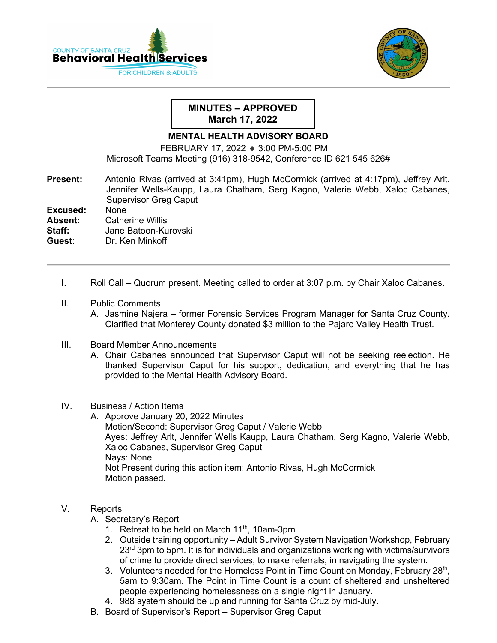



## **MINUTES – APPROVED March 17, 2022**

## **MENTAL HEALTH ADVISORY BOARD**

FEBRUARY 17, 2022 ♦ 3:00 PM-5:00 PM Microsoft Teams Meeting (916) 318-9542, Conference ID 621 545 626#

**Present:** Antonio Rivas (arrived at 3:41pm), Hugh McCormick (arrived at 4:17pm), Jeffrey Arlt,Jennifer Wells-Kaupp, Laura Chatham, Serg Kagno, Valerie Webb, Xaloc Cabanes, Supervisor Greg Caput

**Excused:** None<br>**Absent:** Cathe

**Absent:** Catherine Willis<br>**Staff:** Jane Batoon-Ku

**Staff:** Jane Batoon-Kurovski

**Guest:** Dr. Ken Minkoff

- I. Roll Call Quorum present. Meeting called to order at 3:07 p.m. by Chair Xaloc Cabanes.
- II. Public Comments
	- A. Jasmine Najera former Forensic Services Program Manager for Santa Cruz County. Clarified that Monterey County donated \$3 million to the Pajaro Valley Health Trust.
- III. Board Member Announcements
	- A. Chair Cabanes announced that Supervisor Caput will not be seeking reelection. He thanked Supervisor Caput for his support, dedication, and everything that he has provided to the Mental Health Advisory Board.

## IV. Business / Action Items

A. Approve January 20, 2022 Minutes Motion/Second: Supervisor Greg Caput / Valerie Webb Ayes: Jeffrey Arlt, Jennifer Wells Kaupp, Laura Chatham, Serg Kagno, Valerie Webb, Xaloc Cabanes, Supervisor Greg Caput Nays: None Not Present during this action item: Antonio Rivas, Hugh McCormick Motion passed.

## V. Reports

- A. Secretary's Report
	- 1. Retreat to be held on March 11<sup>th</sup>, 10am-3pm
	- 2. Outside training opportunity Adult Survivor System Navigation Workshop, February  $23<sup>rd</sup>$  3pm to 5pm. It is for individuals and organizations working with victims/survivors of crime to provide direct services, to make referrals, in navigating the system.
	- 3. Volunteers needed for the Homeless Point in Time Count on Monday, February  $28<sup>th</sup>$ , 5am to 9:30am. The Point in Time Count is a count of sheltered and unsheltered people experiencing homelessness on a single night in January.
	- 4. 988 system should be up and running for Santa Cruz by mid-July.
- B. Board of Supervisor's Report Supervisor Greg Caput